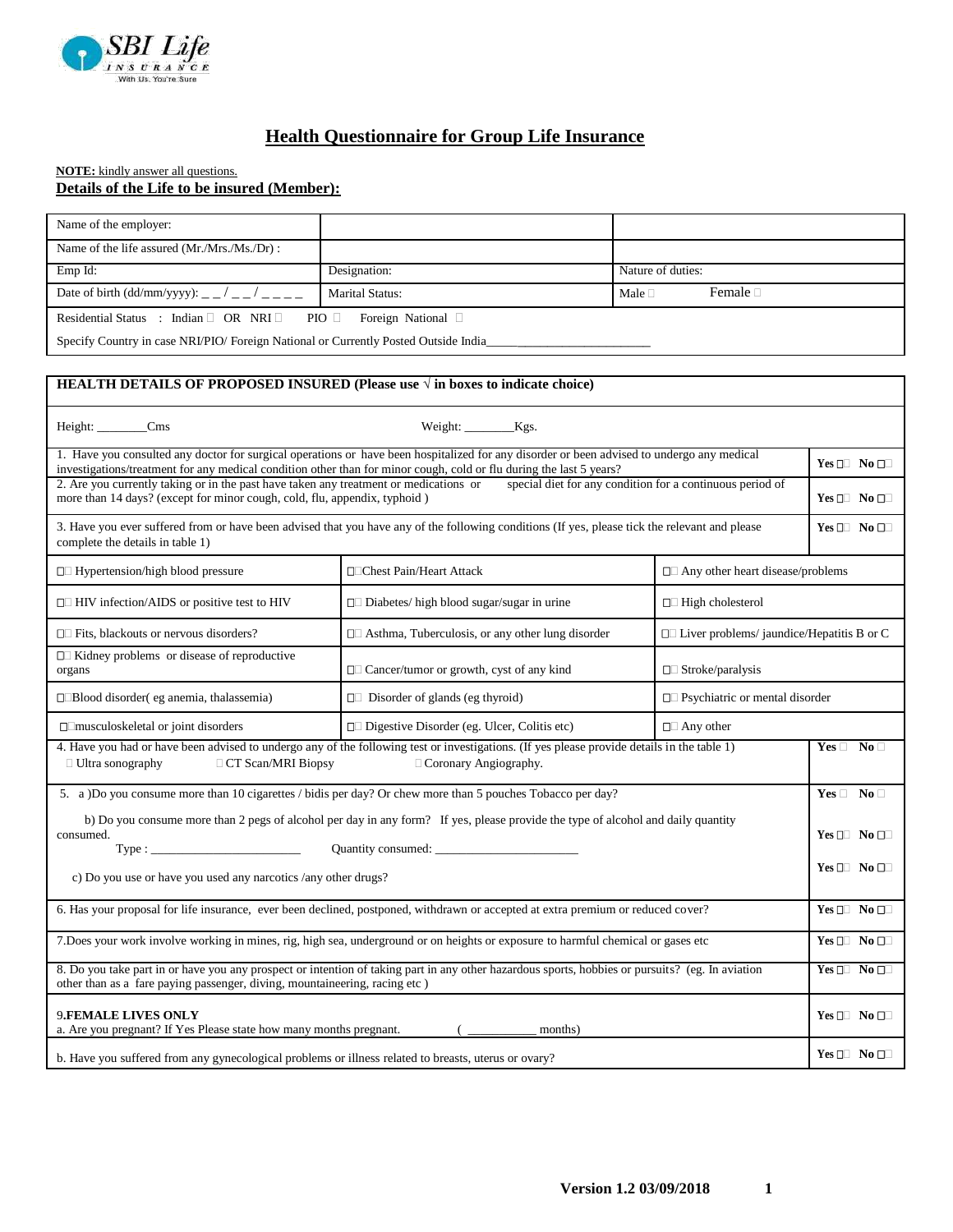

# **Health Questionnaire for Group Life Insurance**

## **NOTE:** kindly answer all questions. **Details of the Life to be insured (Member):**

| Name of the employer:                                                                                                                                                                                                           |                                                                                                                                                                                                                                                                   |                                                  |                                         |  |  |  |
|---------------------------------------------------------------------------------------------------------------------------------------------------------------------------------------------------------------------------------|-------------------------------------------------------------------------------------------------------------------------------------------------------------------------------------------------------------------------------------------------------------------|--------------------------------------------------|-----------------------------------------|--|--|--|
| Name of the life assured (Mr./Mrs./Ms./Dr):                                                                                                                                                                                     |                                                                                                                                                                                                                                                                   |                                                  |                                         |  |  |  |
| Emp Id:                                                                                                                                                                                                                         | Designation:                                                                                                                                                                                                                                                      | Nature of duties:                                |                                         |  |  |  |
| Date of birth (dd/mm/yyyy): _ _ / _ _ / _ _ _ _                                                                                                                                                                                 | <b>Marital Status:</b>                                                                                                                                                                                                                                            | Female D<br>Male $\Box$                          |                                         |  |  |  |
| Residential Status : Indian □ OR NRI □                                                                                                                                                                                          | PIO □ Foreign National □                                                                                                                                                                                                                                          |                                                  |                                         |  |  |  |
| Specify Country in case NRI/PIO/ Foreign National or Currently Posted Outside India_                                                                                                                                            |                                                                                                                                                                                                                                                                   |                                                  |                                         |  |  |  |
|                                                                                                                                                                                                                                 |                                                                                                                                                                                                                                                                   |                                                  |                                         |  |  |  |
| <b>HEALTH DETAILS OF PROPOSED INSURED (Please use <math>\sqrt{ }</math> in boxes to indicate choice)</b>                                                                                                                        |                                                                                                                                                                                                                                                                   |                                                  |                                         |  |  |  |
| Height: ________Cms                                                                                                                                                                                                             |                                                                                                                                                                                                                                                                   |                                                  |                                         |  |  |  |
|                                                                                                                                                                                                                                 | 1. Have you consulted any doctor for surgical operations or have been hospitalized for any disorder or been advised to undergo any medical<br>investigations/treatment for any medical condition other than for minor cough, cold or flu during the last 5 years? |                                                  |                                         |  |  |  |
| 2. Are you currently taking or in the past have taken any treatment or medications or<br>special diet for any condition for a continuous period of<br>more than 14 days? (except for minor cough, cold, flu, appendix, typhoid) |                                                                                                                                                                                                                                                                   |                                                  |                                         |  |  |  |
| 3. Have you ever suffered from or have been advised that you have any of the following conditions (If yes, please tick the relevant and please<br>complete the details in table 1)                                              |                                                                                                                                                                                                                                                                   |                                                  |                                         |  |  |  |
| $\Box$ Hypertension/high blood pressure                                                                                                                                                                                         | □□Chest Pain/Heart Attack                                                                                                                                                                                                                                         |                                                  | $\Box$ Any other heart disease/problems |  |  |  |
| □ HIV infection/AIDS or positive test to HIV                                                                                                                                                                                    | □□ Diabetes/ high blood sugar/sugar in urine                                                                                                                                                                                                                      |                                                  |                                         |  |  |  |
| $\Box$ Fits, blackouts or nervous disorders?                                                                                                                                                                                    | $\Box$ Asthma, Tuberculosis, or any other lung disorder                                                                                                                                                                                                           | $\Box$ Liver problems/ jaundice/Hepatitis B or C |                                         |  |  |  |
| □ Kidney problems or disease of reproductive<br>organs                                                                                                                                                                          | $\Box$ Cancer/tumor or growth, cyst of any kind<br>$\Box$ Stroke/paralysis                                                                                                                                                                                        |                                                  |                                         |  |  |  |
| $\square$ Blood disorder(eg anemia, thalassemia)                                                                                                                                                                                | $\Box$ Disorder of glands (eg thyroid)<br>$\Box$ Psychiatric or mental disorder                                                                                                                                                                                   |                                                  |                                         |  |  |  |
| $\square$ musculoskeletal or joint disorders                                                                                                                                                                                    | $\Box$ Digestive Disorder (eg. Ulcer, Colitis etc)                                                                                                                                                                                                                |                                                  |                                         |  |  |  |
| 4. Have you had or have been advised to undergo any of the following test or investigations. (If yes please provide details in the table 1)<br>□ Ultra sonography<br><b>CT Scan/MRI Biopsy</b><br>Coronary Angiography.         |                                                                                                                                                                                                                                                                   |                                                  |                                         |  |  |  |
|                                                                                                                                                                                                                                 | 5. a )Do you consume more than 10 cigarettes / bidis per day? Or chew more than 5 pouches Tobacco per day?                                                                                                                                                        |                                                  | $Yes \Box No \Box$                      |  |  |  |
| b) Do you consume more than 2 pegs of alcohol per day in any form? If yes, please provide the type of alcohol and daily quantity<br>consumed.                                                                                   |                                                                                                                                                                                                                                                                   |                                                  |                                         |  |  |  |
|                                                                                                                                                                                                                                 |                                                                                                                                                                                                                                                                   |                                                  |                                         |  |  |  |
| $Yes \Box \quad No \Box \Box$<br>c) Do you use or have you used any narcotics /any other drugs?                                                                                                                                 |                                                                                                                                                                                                                                                                   |                                                  |                                         |  |  |  |
| 6. Has your proposal for life insurance, ever been declined, postponed, withdrawn or accepted at extra premium or reduced cover?                                                                                                |                                                                                                                                                                                                                                                                   |                                                  |                                         |  |  |  |
| 7. Does your work involve working in mines, rig, high sea, underground or on heights or exposure to harmful chemical or gases etc                                                                                               |                                                                                                                                                                                                                                                                   |                                                  |                                         |  |  |  |
| 8. Do you take part in or have you any prospect or intention of taking part in any other hazardous sports, hobbies or pursuits? (eg. In aviation<br>other than as a fare paying passenger, diving, mountaineering, racing etc)  |                                                                                                                                                                                                                                                                   |                                                  |                                         |  |  |  |
| 9.FEMALE LIVES ONLY<br>a. Are you pregnant? If Yes Please state how many months pregnant.<br>months)                                                                                                                            |                                                                                                                                                                                                                                                                   |                                                  |                                         |  |  |  |
| b. Have you suffered from any gynecological problems or illness related to breasts, uterus or ovary?                                                                                                                            |                                                                                                                                                                                                                                                                   |                                                  |                                         |  |  |  |